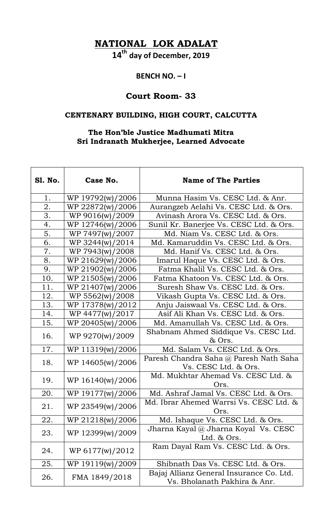**NATIONAL LOK ADALAT**

**14th day of December, 2019**

## **BENCH NO. – I**

## **Court Room- 33**

## **CENTENARY BUILDING, HIGH COURT, CALCUTTA**

## **The Hon'ble Justice Madhumati Mitra Sri Indranath Mukherjee, Learned Advocate**

| <b>S1. No.</b> | Case No.         | <b>Name of The Parties</b>                                               |
|----------------|------------------|--------------------------------------------------------------------------|
| 1.             | WP 19792(w)/2006 | Munna Hasim Vs. CESC Ltd. & Anr.                                         |
| 2.             | WP 22872(w)/2006 | Aurangzeb Aelahi Vs. CESC Ltd. & Ors.                                    |
| 3.             | WP 9016(w)/2009  | Avinash Arora Vs. CESC Ltd. & Ors.                                       |
| 4.             | WP 12746(w)/2006 | Sunil Kr. Banerjee Vs. CESC Ltd. & Ors.                                  |
| 5.             | WP 7497(w)/2007  | Md. Niam Vs. CESC Ltd. & Ors.                                            |
| 6.             | WP 3244(w)/2014  | Md. Kamaruddin Vs. CESC Ltd. & Ors.                                      |
| 7.             | WP 7943(w)/2008  | Md. Hanif Vs. CESC Ltd. & Ors.                                           |
| 8.             | WP 21629(w)/2006 | Imarul Haque Vs. CESC Ltd. & Ors.                                        |
| 9.             | WP 21902(w)/2006 | Fatma Khalil Vs. CESC Ltd. & Ors.                                        |
| 10.            | WP 21505(w)/2006 | Fatma Khatoon Vs. CESC Ltd. & Ors.                                       |
| 11.            | WP 21407(w)/2006 | Suresh Shaw Vs. CESC Ltd. & Ors.                                         |
| 12.            | WP 5562(w)/2008  | Vikash Gupta Vs. CESC Ltd. & Ors.                                        |
| 13.            | WP 17378(w)/2012 | Anju Jaiswaal Vs. CESC Ltd. & Ors.                                       |
| 14.            | WP 4477(w)/2017  | Asif Ali Khan Vs. CESC Ltd. & Ors.                                       |
| 15.            | WP 20405(w)/2006 | Md. Amanullah Vs. CESC Ltd. & Ors.                                       |
| 16.            | WP 9270(w)/2009  | Shabnam Ahmed Siddique Vs. CESC Ltd.<br>& Ors.                           |
| 17.            | WP 11319(w)/2006 | Md. Salam Vs. CESC Ltd. & Ors.                                           |
| 18.            | WP 14605(w)/2006 | Paresh Chandra Saha @ Paresh Nath Saha<br>Vs. CESC Ltd. & Ors.           |
| 19.            | WP 16140(w)/2006 | Md. Mukhtar Ahemad Vs. CESC Ltd. &<br>Ors.                               |
| 20.            | WP 19177(w)/2006 | Md. Ashraf Jamal Vs. CESC Ltd. & Ors.                                    |
| 21.            | WP 23549(w)/2006 | Md. Ibrar Ahemed Warrsi Vs. CESC Ltd. &<br>Ors.                          |
| 22.            | WP 21218(w)/2006 | Md. Ishaque Vs. CESC Ltd. & Ors.                                         |
| 23.            | WP 12399(w)/2009 | Jharna Kayal $@$ Jharna Koyal Vs. CESC<br>Ltd. & Ors.                    |
| 24.            | WP 6177(w)/2012  | Ram Dayal Ram Vs. CESC Ltd. & Ors.                                       |
| 25.            | WP 19119(w)/2009 | Shibnath Das Vs. CESC Ltd. & Ors.                                        |
| 26.            | FMA 1849/2018    | Bajaj Allianz General Insurance Co. Ltd.<br>Vs. Bholanath Pakhira & Anr. |